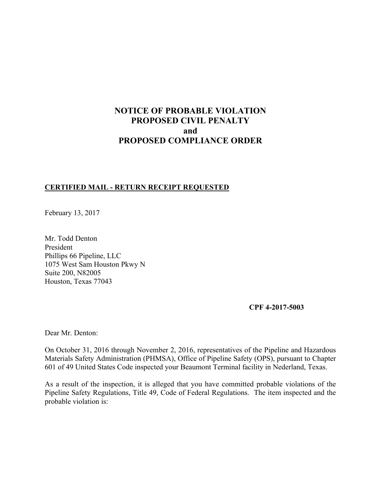# **NOTICE OF PROBABLE VIOLATION PROPOSED CIVIL PENALTY and PROPOSED COMPLIANCE ORDER**

### **CERTIFIED MAIL - RETURN RECEIPT REQUESTED**

February 13, 2017

Mr. Todd Denton President Phillips 66 Pipeline, LLC 1075 West Sam Houston Pkwy N Suite 200, N82005 Houston, Texas 77043

**CPF 4-2017-5003** 

Dear Mr. Denton:

On October 31, 2016 through November 2, 2016, representatives of the Pipeline and Hazardous Materials Safety Administration (PHMSA), Office of Pipeline Safety (OPS), pursuant to Chapter 601 of 49 United States Code inspected your Beaumont Terminal facility in Nederland, Texas.

As a result of the inspection, it is alleged that you have committed probable violations of the Pipeline Safety Regulations, Title 49, Code of Federal Regulations. The item inspected and the probable violation is: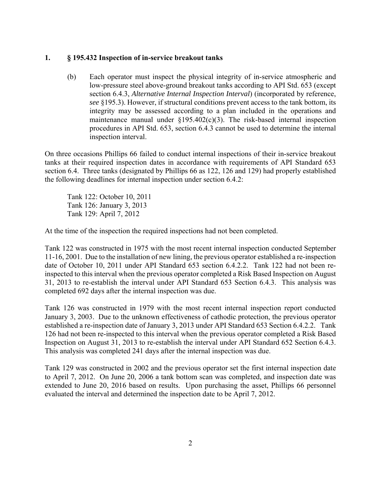#### **1. § 195.432 Inspection of in-service breakout tanks**

(b) Each operator must inspect the physical integrity of in-service atmospheric and low-pressure steel above-ground breakout tanks according to API Std. 653 (except section 6.4.3, *Alternative Internal Inspection Interval*) (incorporated by reference, *see* §195.3). However, if structural conditions prevent access to the tank bottom, its integrity may be assessed according to a plan included in the operations and maintenance manual under  $\S195.402(c)(3)$ . The risk-based internal inspection procedures in API Std. 653, section 6.4.3 cannot be used to determine the internal inspection interval.

On three occasions Phillips 66 failed to conduct internal inspections of their in-service breakout tanks at their required inspection dates in accordance with requirements of API Standard 653 section 6.4. Three tanks (designated by Phillips 66 as 122, 126 and 129) had properly established the following deadlines for internal inspection under section 6.4.2:

Tank 122: October 10, 2011 Tank 126: January 3, 2013 Tank 129: April 7, 2012

At the time of the inspection the required inspections had not been completed.

Tank 122 was constructed in 1975 with the most recent internal inspection conducted September 11-16, 2001. Due to the installation of new lining, the previous operator established a re-inspection date of October 10, 2011 under API Standard 653 section 6.4.2.2. Tank 122 had not been reinspected to this interval when the previous operator completed a Risk Based Inspection on August 31, 2013 to re-establish the interval under API Standard 653 Section 6.4.3. This analysis was completed 692 days after the internal inspection was due.

Tank 126 was constructed in 1979 with the most recent internal inspection report conducted January 3, 2003. Due to the unknown effectiveness of cathodic protection, the previous operator established a re-inspection date of January 3, 2013 under API Standard 653 Section 6.4.2.2. Tank 126 had not been re-inspected to this interval when the previous operator completed a Risk Based Inspection on August 31, 2013 to re-establish the interval under API Standard 652 Section 6.4.3. This analysis was completed 241 days after the internal inspection was due.

Tank 129 was constructed in 2002 and the previous operator set the first internal inspection date to April 7, 2012. On June 20, 2006 a tank bottom scan was completed, and inspection date was extended to June 20, 2016 based on results. Upon purchasing the asset, Phillips 66 personnel evaluated the interval and determined the inspection date to be April 7, 2012.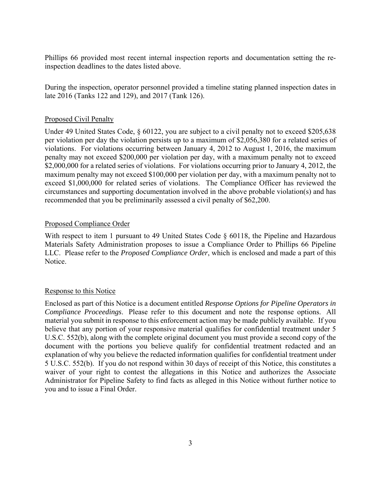Phillips 66 provided most recent internal inspection reports and documentation setting the reinspection deadlines to the dates listed above.

During the inspection, operator personnel provided a timeline stating planned inspection dates in late 2016 (Tanks 122 and 129), and 2017 (Tank 126).

## Proposed Civil Penalty

Under 49 United States Code, § 60122, you are subject to a civil penalty not to exceed \$205,638 per violation per day the violation persists up to a maximum of \$2,056,380 for a related series of violations. For violations occurring between January 4, 2012 to August 1, 2016, the maximum penalty may not exceed \$200,000 per violation per day, with a maximum penalty not to exceed \$2,000,000 for a related series of violations. For violations occurring prior to January 4, 2012, the maximum penalty may not exceed \$100,000 per violation per day, with a maximum penalty not to exceed \$1,000,000 for related series of violations. The Compliance Officer has reviewed the circumstances and supporting documentation involved in the above probable violation(s) and has recommended that you be preliminarily assessed a civil penalty of \$62,200.

# Proposed Compliance Order

With respect to item 1 pursuant to 49 United States Code § 60118, the Pipeline and Hazardous Materials Safety Administration proposes to issue a Compliance Order to Phillips 66 Pipeline LLC. Please refer to the *Proposed Compliance Order*, which is enclosed and made a part of this Notice.

### Response to this Notice

Enclosed as part of this Notice is a document entitled *Response Options for Pipeline Operators in Compliance Proceedings*. Please refer to this document and note the response options. All material you submit in response to this enforcement action may be made publicly available. If you believe that any portion of your responsive material qualifies for confidential treatment under 5 U.S.C. 552(b), along with the complete original document you must provide a second copy of the document with the portions you believe qualify for confidential treatment redacted and an explanation of why you believe the redacted information qualifies for confidential treatment under 5 U.S.C. 552(b). If you do not respond within 30 days of receipt of this Notice, this constitutes a waiver of your right to contest the allegations in this Notice and authorizes the Associate Administrator for Pipeline Safety to find facts as alleged in this Notice without further notice to you and to issue a Final Order.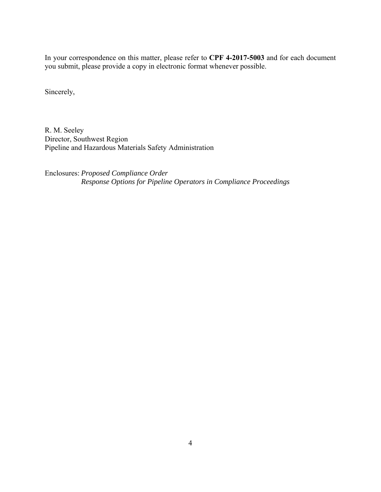In your correspondence on this matter, please refer to **CPF 4-2017-5003** and for each document you submit, please provide a copy in electronic format whenever possible.

Sincerely,

R. M. Seeley Director, Southwest Region Pipeline and Hazardous Materials Safety Administration

Enclosures: *Proposed Compliance Order Response Options for Pipeline Operators in Compliance Proceedings*